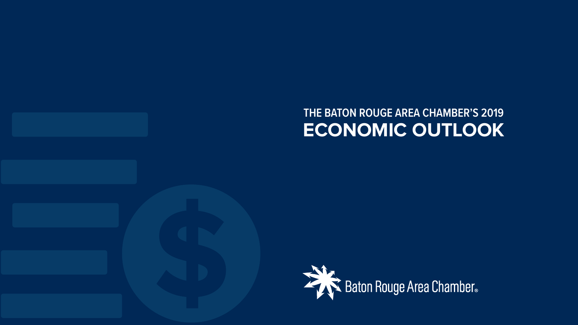#### **2019 FRANCISCO CONSUMERS ENGINEER**<br>2019 ECONOMIC OUTL<br>2019 ECONOMIC OUTL **THE BATON ROUGE AREA CHAMBER'S 2019 ECONOMIC OUTLOOK**

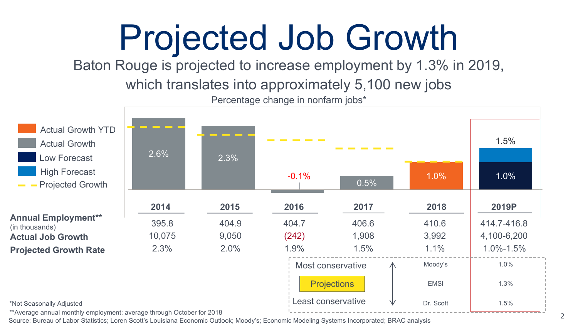### Projected Job Growth

Baton Rouge is projected to increase employment by 1.3% in 2019,

which translates into approximately 5,100 new jobs

Percentage change in nonfarm jobs\*



Least conservative

\*Not Seasonally Adjusted

\*\*Average annual monthly employment; average through October for 2018

Source: Bureau of Labor Statistics; Loren Scott's Louisiana Economic Outlook; Moody's; Economic Modeling Systems Incorporated; BRAC analysis

Dr. Scott  $1.5\%$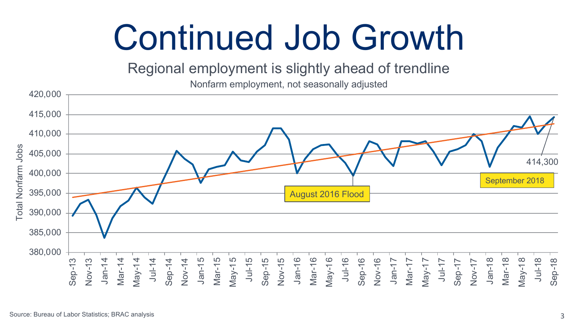### Continued Job Growth

Regional employment is slightly ahead of trendline

Nonfarm employment, not seasonally adjusted

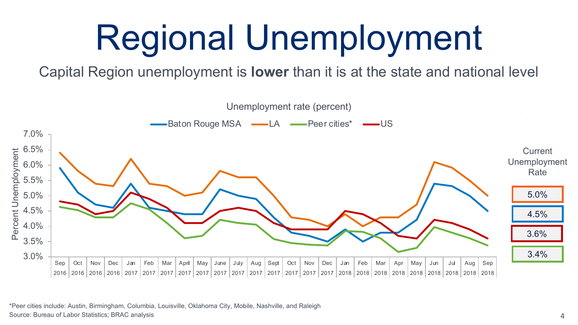# Regional Unemployment

Capital Region unemployment is **lower** than it is at the state and national level



\*Peer cities include: Austin, Birmingham, Columbia, Louisville, Oklahoma City, Mobile, Nashville, and Raleigh Source: Bureau of Labor Statistics; BRAC analysis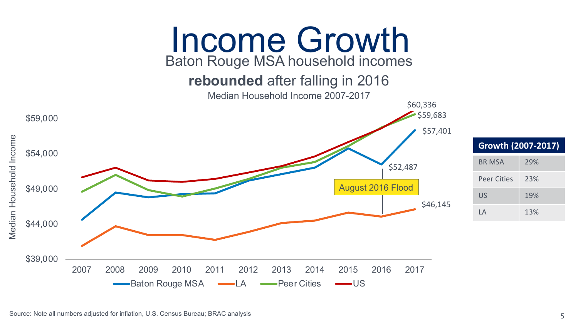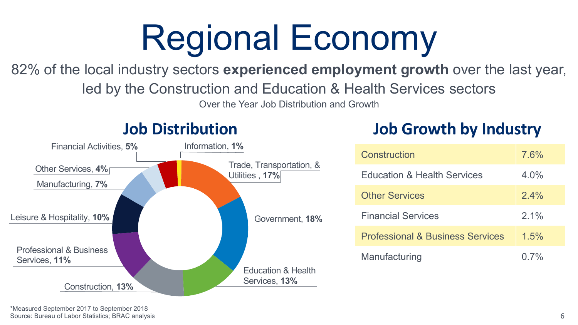# Regional Economy

82% of the local industry sectors **experienced employment growth** over the last year,

led by the Construction and Education & Health Services sectors

Over the Year Job Distribution and Growth



#### **Job Distribution**

#### **Job Growth by Industry**

| Construction                                | 7.6%    |
|---------------------------------------------|---------|
| <b>Education &amp; Health Services</b>      | $4.0\%$ |
| <b>Other Services</b>                       | $2.4\%$ |
| <b>Financial Services</b>                   | $2.1\%$ |
| <b>Professional &amp; Business Services</b> | 1.5%    |
| Manufacturing                               | $0.7\%$ |

\*Measured September 2017 to September 2018 Source: Bureau of Labor Statistics; BRAC analysis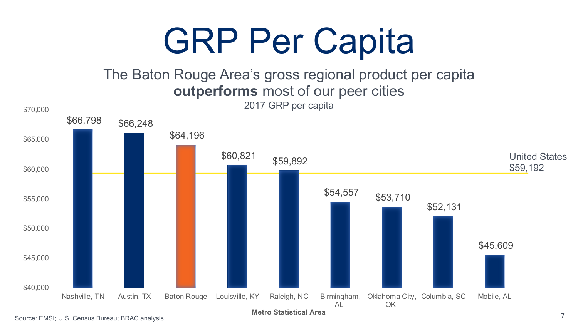### GRP Per Capita

#### The Baton Rouge Area's gross regional product per capita **outperforms** most of our peer cities



**Metro Statistical Area**

Source: EMSI; U.S. Census Bureau; BRAC analysis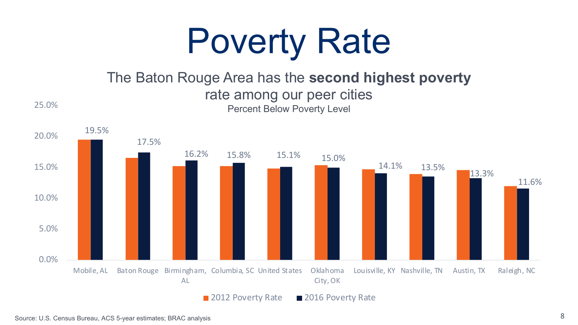

#### The Baton Rouge Area has the **second highest poverty** rate among our peer cities Percent Below Poverty Level



25.0%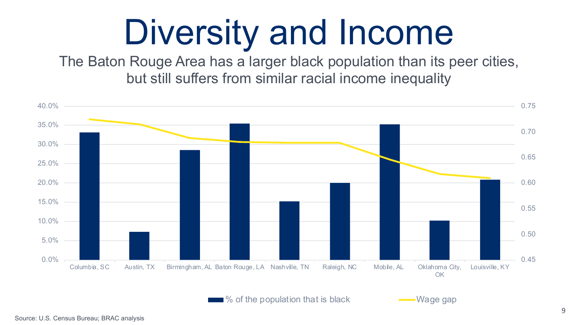## Diversity and Income

The Baton Rouge Area has a larger black population than its peer cities, but still suffers from similar racial income inequality



 $\frac{1}{6}$  of the population that is black  $\sim$  Wage gap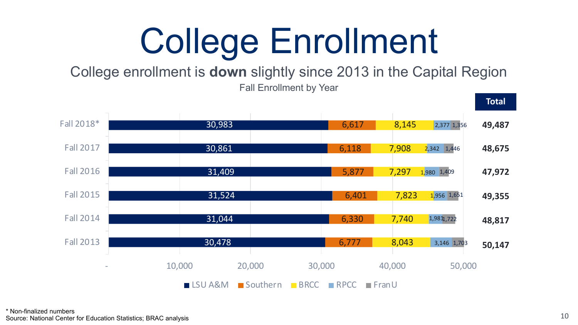# College Enrollment

College enrollment is **down** slightly since 2013 in the Capital Region

Fall Enrollment by Year

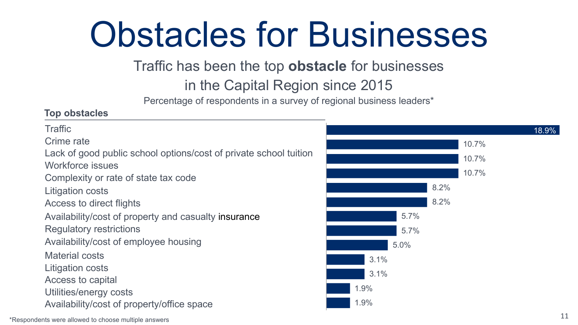## Obstacles for Businesses

#### Traffic has been the top **obstacle** for businesses

#### in the Capital Region since 2015

Percentage of respondents in a survey of regional business leaders\*

#### **Top obstacles**

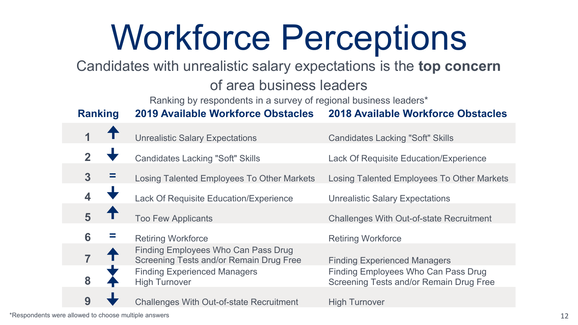## Workforce Perceptions

Candidates with unrealistic salary expectations is the **top concern** 

#### of area business leaders

Ranking by respondents in a survey of regional business leaders\*

**Ranking 2019 Available Workforce Obstacles 2018 Available Workforce Obstacles**

|   | <b>Unrealistic Salary Expectations</b>                                         | <b>Candidates Lacking "Soft" Skills</b>                                        |
|---|--------------------------------------------------------------------------------|--------------------------------------------------------------------------------|
|   | <b>Candidates Lacking "Soft" Skills</b>                                        | Lack Of Requisite Education/Experience                                         |
| 3 | Losing Talented Employees To Other Markets                                     | Losing Talented Employees To Other Markets                                     |
|   | Lack Of Requisite Education/Experience                                         | <b>Unrealistic Salary Expectations</b>                                         |
| 5 | <b>Too Few Applicants</b>                                                      | <b>Challenges With Out-of-state Recruitment</b>                                |
| 6 | <b>Retiring Workforce</b>                                                      | <b>Retiring Workforce</b>                                                      |
|   | Finding Employees Who Can Pass Drug<br>Screening Tests and/or Remain Drug Free | <b>Finding Experienced Managers</b>                                            |
| 8 | <b>Finding Experienced Managers</b><br><b>High Turnover</b>                    | Finding Employees Who Can Pass Drug<br>Screening Tests and/or Remain Drug Free |
| 9 | <b>Challenges With Out-of-state Recruitment</b>                                | <b>High Turnover</b>                                                           |
|   |                                                                                |                                                                                |

\*Respondents were allowed to choose multiple answers 12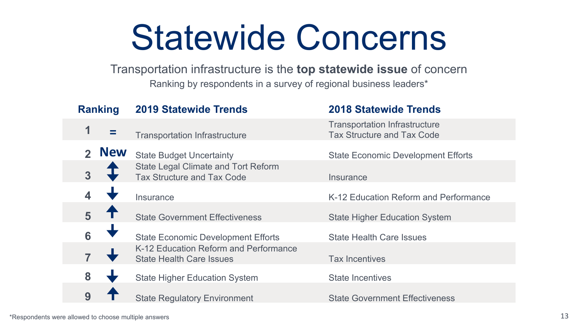#### Statewide Concerns

#### Transportation infrastructure is the **top statewide issue** of concern

Ranking by respondents in a survey of regional business leaders\*

| <b>Ranking</b>             | <b>2019 Statewide Trends</b>                                             | <b>2018 Statewide Trends</b>                                              |
|----------------------------|--------------------------------------------------------------------------|---------------------------------------------------------------------------|
| 1                          | <b>Transportation Infrastructure</b>                                     | <b>Transportation Infrastructure</b><br><b>Tax Structure and Tax Code</b> |
| <b>New</b><br>$\mathbf{z}$ | <b>State Budget Uncertainty</b>                                          | <b>State Economic Development Efforts</b>                                 |
| $\overline{3}$             | State Legal Climate and Tort Reform<br>Tax Structure and Tax Code        | Insurance                                                                 |
|                            | Insurance                                                                | K-12 Education Reform and Performance                                     |
| 5                          | <b>State Government Effectiveness</b>                                    | <b>State Higher Education System</b>                                      |
| 6                          | <b>State Economic Development Efforts</b>                                | <b>State Health Care Issues</b>                                           |
|                            | K-12 Education Reform and Performance<br><b>State Health Care Issues</b> | <b>Tax Incentives</b>                                                     |
| 8                          | <b>State Higher Education System</b>                                     | <b>State Incentives</b>                                                   |
| 9                          | <b>State Regulatory Environment</b>                                      | <b>State Government Effectiveness</b>                                     |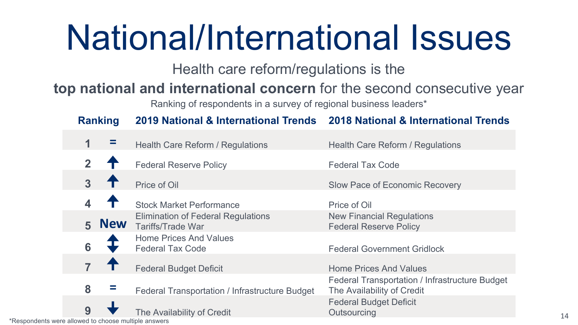## National/International Issues

Health care reform/regulations is the

#### **top national and international concern** for the second consecutive year

Ranking of respondents in a survey of regional business leaders\*

#### **Ranking 2019 National & International Trends 2018 National & International Trends**

|              |            | Health Care Reform / Regulations                                      | Health Care Reform / Regulations                                             |
|--------------|------------|-----------------------------------------------------------------------|------------------------------------------------------------------------------|
| $\mathbf{2}$ |            | <b>Federal Reserve Policy</b>                                         | <b>Federal Tax Code</b>                                                      |
|              |            | Price of Oil                                                          | Slow Pace of Economic Recovery                                               |
|              |            | <b>Stock Market Performance</b>                                       | Price of Oil                                                                 |
| 5            | <b>New</b> | <b>Elimination of Federal Regulations</b><br><b>Tariffs/Trade War</b> | <b>New Financial Regulations</b><br><b>Federal Reserve Policy</b>            |
| 6            |            | <b>Home Prices And Values</b><br><b>Federal Tax Code</b>              | <b>Federal Government Gridlock</b>                                           |
|              |            | <b>Federal Budget Deficit</b>                                         | <b>Home Prices And Values</b>                                                |
| 8            |            | Federal Transportation / Infrastructure Budget                        | Federal Transportation / Infrastructure Budget<br>The Availability of Credit |
| 9            |            | The Availability of Credit                                            | <b>Federal Budget Deficit</b><br>Outsourcing                                 |

\*Respondents were allowed to choose multiple answers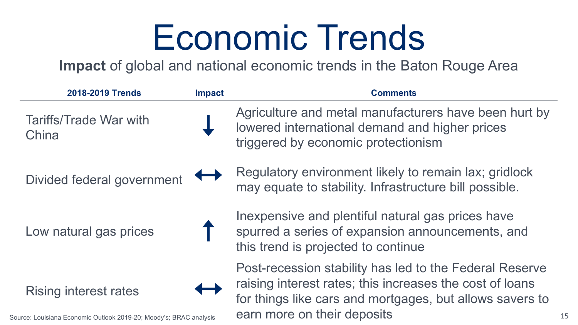### Economic Trends

**Impact** of global and national economic trends in the Baton Rouge Area

| 2018-2019 Trends                                                                                  | <b>Impact</b> | <b>Comments</b>                                                                                                                                                                                                |
|---------------------------------------------------------------------------------------------------|---------------|----------------------------------------------------------------------------------------------------------------------------------------------------------------------------------------------------------------|
| Tariffs/Trade War with<br>China                                                                   |               | Agriculture and metal manufacturers have been hurt by<br>lowered international demand and higher prices<br>triggered by economic protectionism                                                                 |
| Divided federal government                                                                        |               | Regulatory environment likely to remain lax; gridlock<br>may equate to stability. Infrastructure bill possible.                                                                                                |
| Low natural gas prices                                                                            |               | Inexpensive and plentiful natural gas prices have<br>spurred a series of expansion announcements, and<br>this trend is projected to continue                                                                   |
| <b>Rising interest rates</b><br>purce: Louisiana Economic Outlook 2019-20: Moody's: BRAC analysis |               | Post-recession stability has led to the Federal Reserve<br>raising interest rates; this increases the cost of loans<br>for things like cars and mortgages, but allows savers to<br>earn more on their deposits |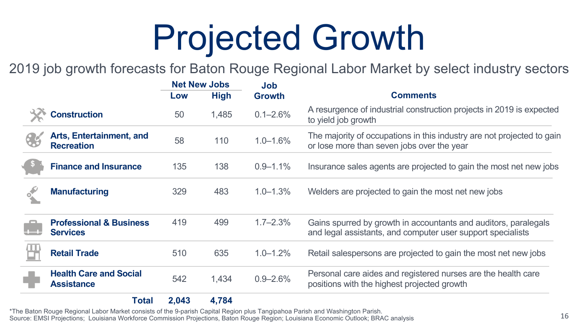# Projected Growth

2019 job growth forecasts for Baton Rouge Regional Labor Market by select industry sectors

|                                                       | <b>Net New Jobs</b> |             | <b>Job</b>    |                                                                                                                                |  |
|-------------------------------------------------------|---------------------|-------------|---------------|--------------------------------------------------------------------------------------------------------------------------------|--|
|                                                       | Low                 | <b>High</b> | <b>Growth</b> | <b>Comments</b>                                                                                                                |  |
| <b>Construction</b>                                   | 50                  | 1,485       | $0.1 - 2.6\%$ | A resurgence of industrial construction projects in 2019 is expected<br>to yield job growth                                    |  |
| <b>Arts, Entertainment, and</b><br><b>Recreation</b>  | 58                  | 110         | $1.0 - 1.6%$  | The majority of occupations in this industry are not projected to gain<br>or lose more than seven jobs over the year           |  |
| <b>Finance and Insurance</b>                          | 135                 | 138         | $0.9 - 1.1\%$ | Insurance sales agents are projected to gain the most net new jobs                                                             |  |
| <b>Manufacturing</b>                                  | 329                 | 483         | $1.0 - 1.3\%$ | Welders are projected to gain the most net new jobs                                                                            |  |
| <b>Professional &amp; Business</b><br><b>Services</b> | 419                 | 499         | $1.7 - 2.3%$  | Gains spurred by growth in accountants and auditors, paralegals<br>and legal assistants, and computer user support specialists |  |
| <b>Retail Trade</b>                                   | 510                 | 635         | $1.0 - 1.2%$  | Retail salespersons are projected to gain the most net new jobs                                                                |  |
| <b>Health Care and Social</b><br><b>Assistance</b>    | 542                 | 1,434       | $0.9 - 2.6%$  | Personal care aides and registered nurses are the health care<br>positions with the highest projected growth                   |  |
| Total                                                 | 2,043               | 4,784       |               |                                                                                                                                |  |

\*The Baton Rouge Regional Labor Market consists of the 9-parish Capital Region plus Tangipahoa Parish and Washington Parish.<br>Source: EMSI Projections; Louisiana Workforce Commission Projections, Baton Rouge Region; Louisi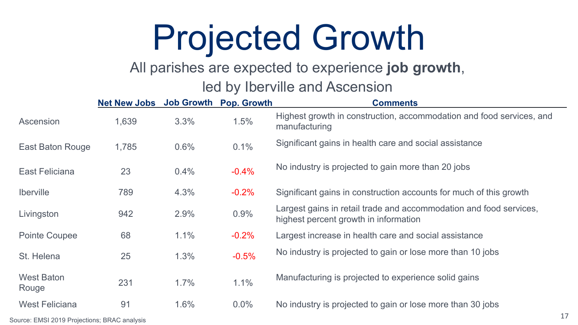### Projected Growth

#### All parishes are expected to experience **job growth**,

#### led by Iberville and Ascension

|                            | <b>Net New Jobs</b> | <b>Job Growth</b> | <b>Pop. Growth</b> | <b>Comments</b>                                                                                             |
|----------------------------|---------------------|-------------------|--------------------|-------------------------------------------------------------------------------------------------------------|
| Ascension                  | 1,639               | 3.3%              | 1.5%               | Highest growth in construction, accommodation and food services, and<br>manufacturing                       |
| East Baton Rouge           | 1,785               | 0.6%              | 0.1%               | Significant gains in health care and social assistance                                                      |
| East Feliciana             | 23                  | 0.4%              | $-0.4%$            | No industry is projected to gain more than 20 jobs                                                          |
| Iberville                  | 789                 | 4.3%              | $-0.2%$            | Significant gains in construction accounts for much of this growth                                          |
| Livingston                 | 942                 | 2.9%              | 0.9%               | Largest gains in retail trade and accommodation and food services,<br>highest percent growth in information |
| Pointe Coupee              | 68                  | 1.1%              | $-0.2%$            | Largest increase in health care and social assistance                                                       |
| St. Helena                 | 25                  | 1.3%              | $-0.5%$            | No industry is projected to gain or lose more than 10 jobs                                                  |
| <b>West Baton</b><br>Rouge | 231                 | 1.7%              | 1.1%               | Manufacturing is projected to experience solid gains                                                        |
| <b>West Feliciana</b>      | 91                  | 1.6%              | $0.0\%$            | No industry is projected to gain or lose more than 30 jobs                                                  |

17 Source: EMSI 2019 Projections; BRAC analysis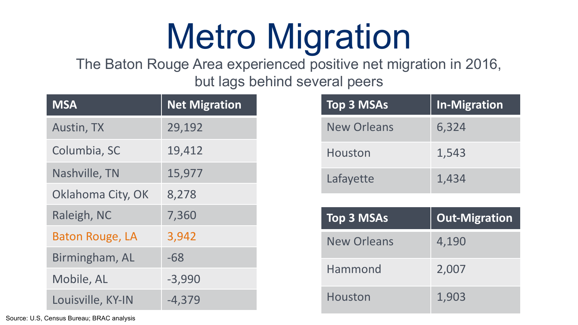# Metro Migration

The Baton Rouge Area experienced positive net migration in 2016, but lags behind several peers

| <b>MSA</b>             | <b>Net Migration</b> |
|------------------------|----------------------|
| Austin, TX             | 29,192               |
| Columbia, SC           | 19,412               |
| Nashville, TN          | 15,977               |
| Oklahoma City, OK      | 8,278                |
| Raleigh, NC            | 7,360                |
| <b>Baton Rouge, LA</b> | 3,942                |
| Birmingham, AL         | $-68$                |
| Mobile, AL             | $-3,990$             |
| Louisville, KY-IN      | $-4,379$             |

| <b>Top 3 MSAs</b>  | <b>In-Migration</b> |
|--------------------|---------------------|
| <b>New Orleans</b> | 6,324               |
| Houston            | 1,543               |
| Lafayette          | 1,434               |

| <b>Top 3 MSAs</b>  | <b>Out-Migration</b> |
|--------------------|----------------------|
| <b>New Orleans</b> | 4,190                |
| Hammond            | 2,007                |
| Houston            | 1,903                |

Source: U.S, Census Bureau; BRAC analysis